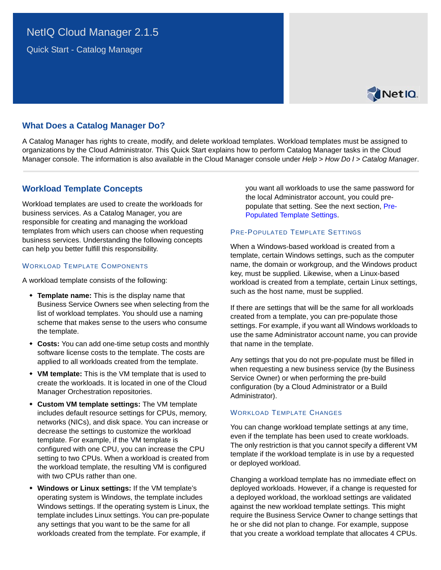Quick Start - Catalog Manager



# **What Does a Catalog Manager Do?**

A Catalog Manager has rights to create, modify, and delete workload templates. Workload templates must be assigned to organizations by the Cloud Administrator. This Quick Start explains how to perform Catalog Manager tasks in the Cloud Manager console. The information is also available in the Cloud Manager console under *Help* > *How Do I* > *Catalog Manager*.

## **Workload Template Concepts**

Workload templates are used to create the workloads for business services. As a Catalog Manager, you are responsible for creating and managing the workload templates from which users can choose when requesting business services. Understanding the following concepts can help you better fulfill this responsibility.

#### WORKLOAD TEMPLATE COMPONENTS

A workload template consists of the following:

- **Template name:** This is the display name that Business Service Owners see when selecting from the list of workload templates. You should use a naming scheme that makes sense to the users who consume the template.
- **Costs:** You can add one-time setup costs and monthly software license costs to the template. The costs are applied to all workloads created from the template.
- **VM template:** This is the VM template that is used to create the workloads. It is located in one of the Cloud Manager Orchestration repositories.
- **Custom VM template settings:** The VM template includes default resource settings for CPUs, memory, networks (NICs), and disk space. You can increase or decrease the settings to customize the workload template. For example, if the VM template is configured with one CPU, you can increase the CPU setting to two CPUs. When a workload is created from the workload template, the resulting VM is configured with two CPUs rather than one.
- **Windows or Linux settings:** If the VM template's operating system is Windows, the template includes Windows settings. If the operating system is Linux, the template includes Linux settings. You can pre-populate any settings that you want to be the same for all workloads created from the template. For example, if

you want all workloads to use the same password for the local Administrator account, you could prepopulate that setting. See the next section, [Pre-](#page-0-0)[Populated Template Settings](#page-0-0).

#### <span id="page-0-0"></span>PRE-POPULATED TEMPLATE SETTINGS

When a Windows-based workload is created from a template, certain Windows settings, such as the computer name, the domain or workgroup, and the Windows product key, must be supplied. Likewise, when a Linux-based workload is created from a template, certain Linux settings, such as the host name, must be supplied.

If there are settings that will be the same for all workloads created from a template, you can pre-populate those settings. For example, if you want all Windows workloads to use the same Administrator account name, you can provide that name in the template.

Any settings that you do not pre-populate must be filled in when requesting a new business service (by the Business Service Owner) or when performing the pre-build configuration (by a Cloud Administrator or a Build Administrator).

### WORKLOAD TEMPLATE CHANGES

You can change workload template settings at any time, even if the template has been used to create workloads. The only restriction is that you cannot specify a different VM template if the workload template is in use by a requested or deployed workload.

Changing a workload template has no immediate effect on deployed workloads. However, if a change is requested for a deployed workload, the workload settings are validated against the new workload template settings. This might require the Business Service Owner to change settings that he or she did not plan to change. For example, suppose that you create a workload template that allocates 4 CPUs.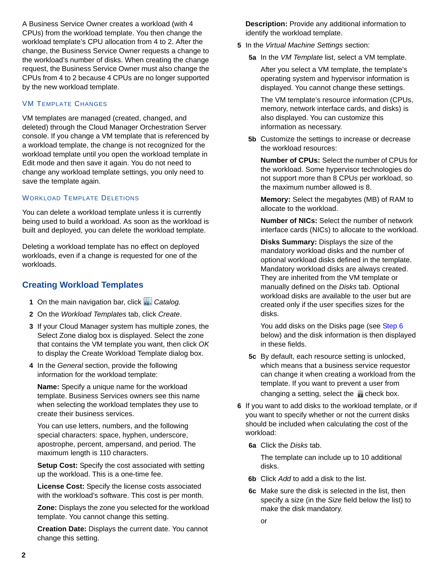A Business Service Owner creates a workload (with 4 CPUs) from the workload template. You then change the workload template's CPU allocation from 4 to 2. After the change, the Business Service Owner requests a change to the workload's number of disks. When creating the change request, the Business Service Owner must also change the CPUs from 4 to 2 because 4 CPUs are no longer supported by the new workload template.

### VM TEMPLATE CHANGES

VM templates are managed (created, changed, and deleted) through the Cloud Manager Orchestration Server console. If you change a VM template that is referenced by a workload template, the change is not recognized for the workload template until you open the workload template in Edit mode and then save it again. You do not need to change any workload template settings, you only need to save the template again.

## WORKLOAD TEMPLATE DELETIONS

You can delete a workload template unless it is currently being used to build a workload. As soon as the workload is built and deployed, you can delete the workload template.

Deleting a workload template has no effect on deployed workloads, even if a change is requested for one of the workloads.

# **Creating Workload Templates**

- **1** On the main navigation bar, click *Catalog.*
- **2** On the *Workload Templates* tab, click *Create*.
- **3** If your Cloud Manager system has multiple zones, the Select Zone dialog box is displayed. Select the zone that contains the VM template you want, then click *OK* to display the Create Workload Template dialog box.
- **4** In the *General* section, provide the following information for the workload template:

**Name:** Specify a unique name for the workload template. Business Services owners see this name when selecting the workload templates they use to create their business services.

You can use letters, numbers, and the following special characters: space, hyphen, underscore, apostrophe, percent, ampersand, and period. The maximum length is 110 characters.

**Setup Cost:** Specify the cost associated with setting up the workload. This is a one-time fee.

**License Cost:** Specify the license costs associated with the workload's software. This cost is per month.

**Zone:** Displays the zone you selected for the workload template. You cannot change this setting.

**Creation Date:** Displays the current date. You cannot change this setting.

**Description:** Provide any additional information to identify the workload template.

- **5** In the *Virtual Machine Settings* section:
	- **5a** In the *VM Template* list, select a VM template.

After you select a VM template, the template's operating system and hypervisor information is displayed. You cannot change these settings.

The VM template's resource information (CPUs, memory, network interface cards, and disks) is also displayed. You can customize this information as necessary.

**5b** Customize the settings to increase or decrease the workload resources:

**Number of CPUs:** Select the number of CPUs for the workload. Some hypervisor technologies do not support more than 8 CPUs per workload, so the maximum number allowed is 8.

**Memory:** Select the megabytes (MB) of RAM to allocate to the workload.

**Number of NICs:** Select the number of network interface cards (NICs) to allocate to the workload.

**Disks Summary:** Displays the size of the mandatory workload disks and the number of optional workload disks defined in the template. Mandatory workload disks are always created. They are inherited from the VM template or manually defined on the *Disks* tab. Optional workload disks are available to the user but are created only if the user specifies sizes for the disks.

You add disks on the Disks page (see [Step 6](#page-1-0) below) and the disk information is then displayed in these fields.

- **5c** By default, each resource setting is unlocked, which means that a business service requestor can change it when creating a workload from the template. If you want to prevent a user from changing a setting, select the  $\blacksquare$  check box.
- <span id="page-1-0"></span>**6** If you want to add disks to the workload template, or if you want to specify whether or not the current disks should be included when calculating the cost of the workload:
	- **6a** Click the *Disks* tab.

The template can include up to 10 additional disks.

- **6b** Click *Add* to add a disk to the list.
- **6c** Make sure the disk is selected in the list, then specify a size (in the *Size* field below the list) to make the disk mandatory.
	- or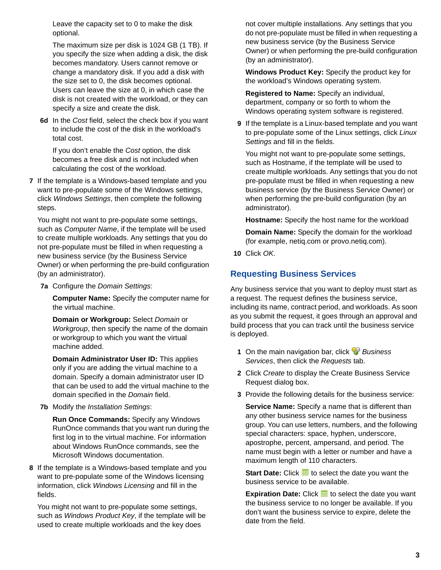Leave the capacity set to 0 to make the disk optional.

The maximum size per disk is 1024 GB (1 TB). If you specify the size when adding a disk, the disk becomes mandatory. Users cannot remove or change a mandatory disk. If you add a disk with the size set to 0, the disk becomes optional. Users can leave the size at 0, in which case the disk is not created with the workload, or they can specify a size and create the disk.

**6d** In the *Cost* field, select the check box if you want to include the cost of the disk in the workload's total cost.

If you don't enable the *Cost* option, the disk becomes a free disk and is not included when calculating the cost of the workload.

**7** If the template is a Windows-based template and you want to pre-populate some of the Windows settings, click *Windows Settings*, then complete the following steps.

You might not want to pre-populate some settings, such as *Computer Name*, if the template will be used to create multiple workloads. Any settings that you do not pre-populate must be filled in when requesting a new business service (by the Business Service Owner) or when performing the pre-build configuration (by an administrator).

**7a** Configure the *Domain Settings*:

**Computer Name:** Specify the computer name for the virtual machine.

**Domain or Workgroup:** Select *Domain* or *Workgroup*, then specify the name of the domain or workgroup to which you want the virtual machine added.

**Domain Administrator User ID:** This applies only if you are adding the virtual machine to a domain. Specify a domain administrator user ID that can be used to add the virtual machine to the domain specified in the *Domain* field.

**7b** Modify the *Installation Settings*:

**Run Once Commands:** Specify any Windows RunOnce commands that you want run during the first log in to the virtual machine. For information about Windows RunOnce commands, see the Microsoft Windows documentation.

**8** If the template is a Windows-based template and you want to pre-populate some of the Windows licensing information, click *Windows Licensing* and fill in the fields.

You might not want to pre-populate some settings, such as *Windows Product Key*, if the template will be used to create multiple workloads and the key does

not cover multiple installations. Any settings that you do not pre-populate must be filled in when requesting a new business service (by the Business Service Owner) or when performing the pre-build configuration (by an administrator).

**Windows Product Key:** Specify the product key for the workload's Windows operating system.

**Registered to Name:** Specify an individual, department, company or so forth to whom the Windows operating system software is registered.

**9** If the template is a Linux-based template and you want to pre-populate some of the Linux settings, click *Linux Settings* and fill in the fields.

You might not want to pre-populate some settings, such as Hostname, if the template will be used to create multiple workloads. Any settings that you do not pre-populate must be filled in when requesting a new business service (by the Business Service Owner) or when performing the pre-build configuration (by an administrator).

**Hostname:** Specify the host name for the workload

**Domain Name:** Specify the domain for the workload (for example, netiq.com or provo.netiq.com).

**10** Click *OK*.

# **Requesting Business Services**

Any business service that you want to deploy must start as a request. The request defines the business service, including its name, contract period, and workloads. As soon as you submit the request, it goes through an approval and build process that you can track until the business service is deployed.

- **1** On the main navigation bar, click *Business Services*, then click the *Requests* tab.
- **2** Click *Create* to display the Create Business Service Request dialog box.
- **3** Provide the following details for the business service:

**Service Name:** Specify a name that is different than any other business service names for the business group. You can use letters, numbers, and the following special characters: space, hyphen, underscore, apostrophe, percent, ampersand, and period. The name must begin with a letter or number and have a maximum length of 110 characters.

**Start Date:** Click **the** to select the date you want the business service to be available.

**Expiration Date:** Click **H** to select the date you want the business service to no longer be available. If you don't want the business service to expire, delete the date from the field.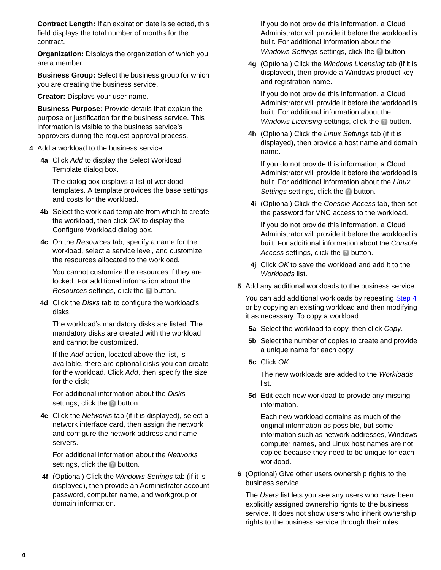**Contract Length:** If an expiration date is selected, this field displays the total number of months for the contract.

**Organization:** Displays the organization of which you are a member.

**Business Group:** Select the business group for which you are creating the business service.

**Creator:** Displays your user name.

**Business Purpose:** Provide details that explain the purpose or justification for the business service. This information is visible to the business service's approvers during the request approval process.

- <span id="page-3-0"></span>**4** Add a workload to the business service:
	- **4a** Click *Add* to display the Select Workload Template dialog box.

The dialog box displays a list of workload templates. A template provides the base settings and costs for the workload.

- **4b** Select the workload template from which to create the workload, then click *OK* to display the Configure Workload dialog box.
- **4c** On the *Resources* tab, specify a name for the workload, select a service level, and customize the resources allocated to the workload.

You cannot customize the resources if they are locked. For additional information about the *Resources* settings, click the **button**.

**4d** Click the *Disks* tab to configure the workload's disks.

The workload's mandatory disks are listed. The mandatory disks are created with the workload and cannot be customized.

If the *Add* action, located above the list, is available, there are optional disks you can create for the workload. Click *Add*, then specify the size for the disk;

For additional information about the *Disks* settings, click the **button**.

**4e** Click the *Networks* tab (if it is displayed), select a network interface card, then assign the network and configure the network address and name servers.

For additional information about the *Networks* settings, click the **button**.

**4f** (Optional) Click the *Windows Settings* tab (if it is displayed), then provide an Administrator account password, computer name, and workgroup or domain information.

If you do not provide this information, a Cloud Administrator will provide it before the workload is built. For additional information about the *Windows Settings* settings, click the **button**.

**4g** (Optional) Click the *Windows Licensing* tab (if it is displayed), then provide a Windows product key and registration name.

If you do not provide this information, a Cloud Administrator will provide it before the workload is built. For additional information about the *Windows Licensing* settings, click the **button**.

**4h** (Optional) Click the *Linux Settings* tab (if it is displayed), then provide a host name and domain name.

If you do not provide this information, a Cloud Administrator will provide it before the workload is built. For additional information about the *Linux*  **Settings settings, click the button.** 

**4i** (Optional) Click the *Console Access* tab, then set the password for VNC access to the workload.

If you do not provide this information, a Cloud Administrator will provide it before the workload is built. For additional information about the *Console Access* settings, click the **button**.

- **4j** Click *OK* to save the workload and add it to the *Workloads* list.
- **5** Add any additional workloads to the business service.

You can add additional workloads by repeating [Step 4](#page-3-0) or by copying an existing workload and then modifying it as necessary. To copy a workload:

- **5a** Select the workload to copy, then click *Copy*.
- **5b** Select the number of copies to create and provide a unique name for each copy.
- **5c** Click *OK*.

The new workloads are added to the *Workloads* list.

**5d** Edit each new workload to provide any missing information.

Each new workload contains as much of the original information as possible, but some information such as network addresses, Windows computer names, and Linux host names are not copied because they need to be unique for each workload.

**6** (Optional) Give other users ownership rights to the business service.

The *Users* list lets you see any users who have been explicitly assigned ownership rights to the business service. It does not show users who inherit ownership rights to the business service through their roles.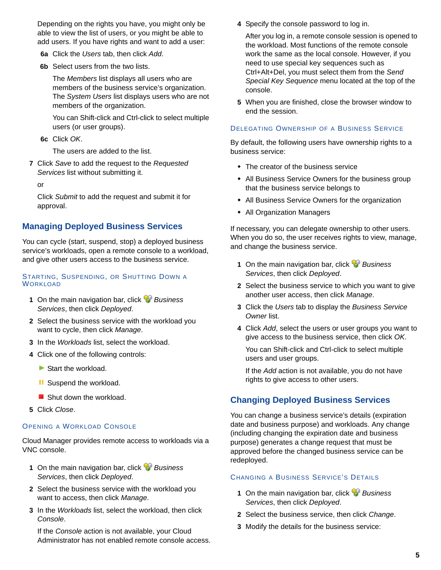Depending on the rights you have, you might only be able to view the list of users, or you might be able to add users. If you have rights and want to add a user:

- **6a** Click the *Users* tab, then click *Add*.
- **6b** Select users from the two lists.

The *Members* list displays all users who are members of the business service's organization. The *System Users* list displays users who are not members of the organization.

You can Shift-click and Ctrl-click to select multiple users (or user groups).

**6c** Click *OK*.

The users are added to the list.

**7** Click *Save* to add the request to the *Requested Services* list without submitting it.

or

Click *Submit* to add the request and submit it for approval.

## **Managing Deployed Business Services**

You can cycle (start, suspend, stop) a deployed business service's workloads, open a remote console to a workload, and give other users access to the business service.

#### STARTING, SUSPENDING, OR SHUTTING DOWN A **WORKLOAD**

- **1** On the main navigation bar, click *Business Services*, then click *Deployed*.
- **2** Select the business service with the workload you want to cycle, then click *Manage*.
- **3** In the *Workloads* list, select the workload.
- **4** Click one of the following controls:
	- Start the workload.
	- **II** Suspend the workload.
	- Shut down the workload.
- **5** Click *Close*.

### OPENING A WORKLOAD CONSOLE

Cloud Manager provides remote access to workloads via a VNC console.

- **1** On the main navigation bar, click *Business Services*, then click *Deployed*.
- **2** Select the business service with the workload you want to access, then click *Manage*.
- **3** In the *Workloads* list, select the workload, then click *Console*.

If the *Console* action is not available, your Cloud Administrator has not enabled remote console access. **4** Specify the console password to log in.

After you log in, a remote console session is opened to the workload. Most functions of the remote console work the same as the local console. However, if you need to use special key sequences such as Ctrl+Alt+Del, you must select them from the *Send Special Key Sequence* menu located at the top of the console.

**5** When you are finished, close the browser window to end the session.

#### DELEGATING OWNERSHIP OF A BUSINESS SERVICE

By default, the following users have ownership rights to a business service:

- The creator of the business service
- All Business Service Owners for the business group that the business service belongs to
- All Business Service Owners for the organization
- All Organization Managers

If necessary, you can delegate ownership to other users. When you do so, the user receives rights to view, manage, and change the business service.

- **1** On the main navigation bar, click *Business Services*, then click *Deployed*.
- **2** Select the business service to which you want to give another user access, then click *Manage*.
- **3** Click the *Users* tab to display the *Business Service Owner* list.
- **4** Click *Add*, select the users or user groups you want to give access to the business service, then click *OK*.

You can Shift-click and Ctrl-click to select multiple users and user groups.

If the *Add* action is not available, you do not have rights to give access to other users.

## **Changing Deployed Business Services**

You can change a business service's details (expiration date and business purpose) and workloads. Any change (including changing the expiration date and business purpose) generates a change request that must be approved before the changed business service can be redeployed.

### CHANGING A BUSINESS SERVICE'S DETAILS

- **1** On the main navigation bar, click *Business Services*, then click *Deployed*.
- **2** Select the business service, then click *Change*.
- **3** Modify the details for the business service: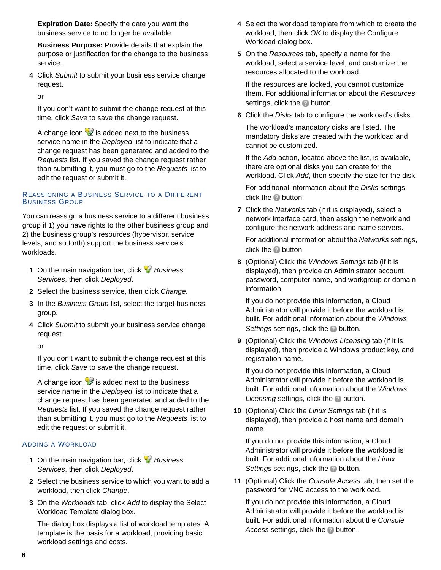**Expiration Date:** Specify the date you want the business service to no longer be available.

**Business Purpose:** Provide details that explain the purpose or justification for the change to the business service.

**4** Click *Submit* to submit your business service change request.

or

If you don't want to submit the change request at this time, click *Save* to save the change request.

A change icon  $\mathcal{D}$  is added next to the business service name in the *Deployed* list to indicate that a change request has been generated and added to the *Requests* list. If you saved the change request rather than submitting it, you must go to the *Requests* list to edit the request or submit it.

### REASSIGNING A BUSINESS SERVICE TO A DIFFERENT BUSINESS GROUP

You can reassign a business service to a different business group if 1) you have rights to the other business group and 2) the business group's resources (hypervisor, service levels, and so forth) support the business service's workloads.

- **1** On the main navigation bar, click *Business Services*, then click *Deployed*.
- **2** Select the business service, then click *Change*.
- **3** In the *Business Group* list, select the target business group.
- **4** Click *Submit* to submit your business service change request.

or

If you don't want to submit the change request at this time, click *Save* to save the change request.

A change icon  $\blacktriangleright$  is added next to the business service name in the *Deployed* list to indicate that a change request has been generated and added to the *Requests* list. If you saved the change request rather than submitting it, you must go to the *Requests* list to edit the request or submit it.

### ADDING A WORKLOAD

- **1** On the main navigation bar, click *Business Services*, then click *Deployed*.
- **2** Select the business service to which you want to add a workload, then click *Change*.
- **3** On the *Workloads* tab, click *Add* to display the Select Workload Template dialog box.

The dialog box displays a list of workload templates. A template is the basis for a workload, providing basic workload settings and costs.

- **4** Select the workload template from which to create the workload, then click *OK* to display the Configure Workload dialog box.
- **5** On the *Resources* tab, specify a name for the workload, select a service level, and customize the resources allocated to the workload.

If the resources are locked, you cannot customize them. For additional information about the *Resources* settings, click the **button**.

**6** Click the *Disks* tab to configure the workload's disks.

The workload's mandatory disks are listed. The mandatory disks are created with the workload and cannot be customized.

If the *Add* action, located above the list, is available, there are optional disks you can create for the workload. Click *Add*, then specify the size for the disk

For additional information about the *Disks* settings, click the **button**.

**7** Click the *Networks* tab (if it is displayed), select a network interface card, then assign the network and configure the network address and name servers.

For additional information about the *Networks* settings, click the **button**.

**8** (Optional) Click the *Windows Settings* tab (if it is displayed), then provide an Administrator account password, computer name, and workgroup or domain information.

If you do not provide this information, a Cloud Administrator will provide it before the workload is built. For additional information about the *Windows*  **Settings settings, click the <sup>2</sup> button.** 

**9** (Optional) Click the *Windows Licensing* tab (if it is displayed), then provide a Windows product key, and registration name.

If you do not provide this information, a Cloud Administrator will provide it before the workload is built. For additional information about the *Windows Licensing* settings, click the **button**.

**10** (Optional) Click the *Linux Settings* tab (if it is displayed), then provide a host name and domain name.

If you do not provide this information, a Cloud Administrator will provide it before the workload is built. For additional information about the *Linux Settings* settings, click the **button**.

**11** (Optional) Click the *Console Access* tab, then set the password for VNC access to the workload.

If you do not provide this information, a Cloud Administrator will provide it before the workload is built. For additional information about the *Console Access* settings, click the **button**.